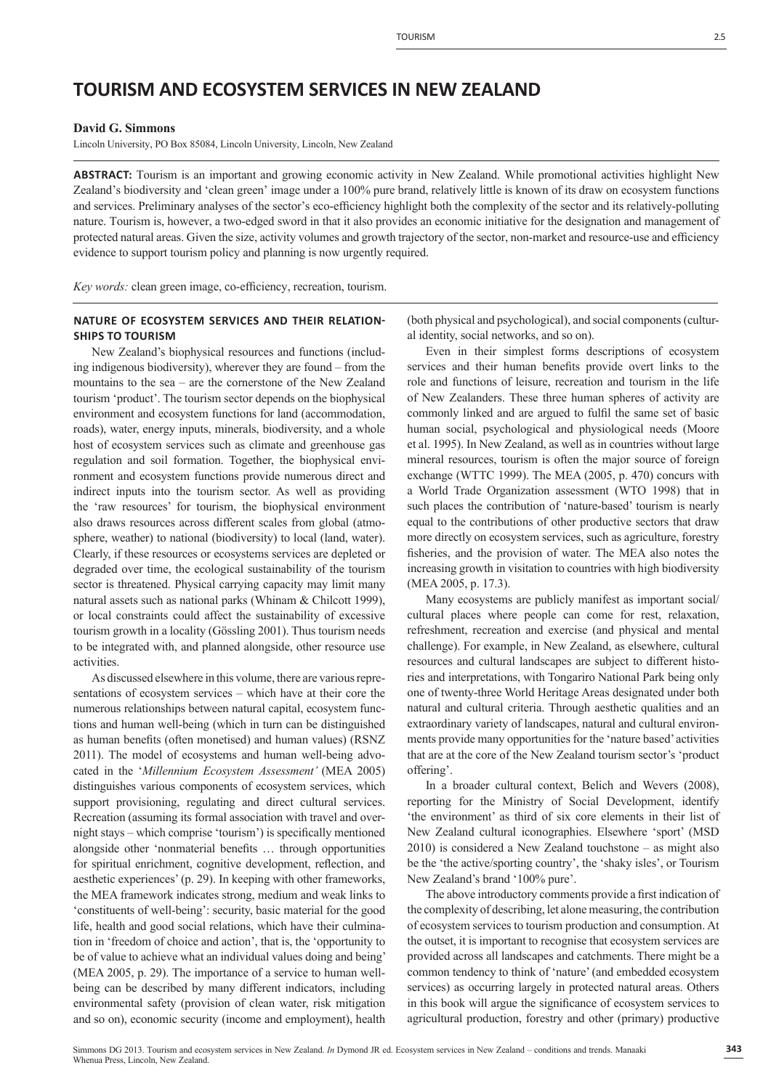# **TOURISM AND ECOSYSTEM SERVICES IN NEW ZEALAND**

#### **David G. Simmons**

Lincoln University, PO Box 85084, Lincoln University, Lincoln, New Zealand

**ABSTRACT:** Tourism is an important and growing economic activity in New Zealand. While promotional activities highlight New Zealand's biodiversity and 'clean green' image under a 100% pure brand, relatively little is known of its draw on ecosystem functions and services. Preliminary analyses of the sector's eco-efficiency highlight both the complexity of the sector and its relatively-polluting nature. Tourism is, however, a two-edged sword in that it also provides an economic initiative for the designation and management of protected natural areas. Given the size, activity volumes and growth trajectory of the sector, non-market and resource-use and efficiency evidence to support tourism policy and planning is now urgently required.

*Key words:* clean green image, co-efficiency, recreation, tourism.

### **NATURE OF ECOSYSTEM SERVICES AND THEIR RELATION-SHIPS TO TOURISM**

New Zealand's biophysical resources and functions (including indigenous biodiversity), wherever they are found – from the mountains to the sea – are the cornerstone of the New Zealand tourism 'product'. The tourism sector depends on the biophysical environment and ecosystem functions for land (accommodation, roads), water, energy inputs, minerals, biodiversity, and a whole host of ecosystem services such as climate and greenhouse gas regulation and soil formation. Together, the biophysical environment and ecosystem functions provide numerous direct and indirect inputs into the tourism sector. As well as providing the 'raw resources' for tourism, the biophysical environment also draws resources across different scales from global (atmosphere, weather) to national (biodiversity) to local (land, water). Clearly, if these resources or ecosystems services are depleted or degraded over time, the ecological sustainability of the tourism sector is threatened. Physical carrying capacity may limit many natural assets such as national parks (Whinam & Chilcott 1999), or local constraints could affect the sustainability of excessive tourism growth in a locality (Gössling 2001). Thus tourism needs to be integrated with, and planned alongside, other resource use activities.

As discussed elsewhere in this volume, there are various representations of ecosystem services – which have at their core the numerous relationships between natural capital, ecosystem functions and human well-being (which in turn can be distinguished as human benefits (often monetised) and human values) (RSNZ 2011). The model of ecosystems and human well-being advocated in the '*Millennium Ecosystem Assessment'* (MEA 2005) distinguishes various components of ecosystem services, which support provisioning, regulating and direct cultural services. Recreation (assuming its formal association with travel and overnight stays – which comprise 'tourism') is specifically mentioned alongside other 'nonmaterial benefits ... through opportunities for spiritual enrichment, cognitive development, reflection, and aesthetic experiences' (p. 29). In keeping with other frameworks, the MEA framework indicates strong, medium and weak links to 'constituents of well-being': security, basic material for the good life, health and good social relations, which have their culmination in 'freedom of choice and action', that is, the 'opportunity to be of value to achieve what an individual values doing and being' (MEA 2005, p. 29). The importance of a service to human wellbeing can be described by many different indicators, including environmental safety (provision of clean water, risk mitigation and so on), economic security (income and employment), health

(both physical and psychological), and social components (cultural identity, social networks, and so on).

Even in their simplest forms descriptions of ecosystem services and their human benefits provide overt links to the role and functions of leisure, recreation and tourism in the life of New Zealanders. These three human spheres of activity are commonly linked and are argued to fulfil the same set of basic human social, psychological and physiological needs (Moore et al. 1995). In New Zealand, as well as in countries without large mineral resources, tourism is often the major source of foreign exchange (WTTC 1999). The MEA (2005, p. 470) concurs with a World Trade Organization assessment (WTO 1998) that in such places the contribution of 'nature-based' tourism is nearly equal to the contributions of other productive sectors that draw more directly on ecosystem services, such as agriculture, forestry fisheries, and the provision of water. The MEA also notes the increasing growth in visitation to countries with high biodiversity (MEA 2005, p. 17.3).

Many ecosystems are publicly manifest as important social/ cultural places where people can come for rest, relaxation, refreshment, recreation and exercise (and physical and mental challenge). For example, in New Zealand, as elsewhere, cultural resources and cultural landscapes are subject to different histories and interpretations, with Tongariro National Park being only one of twenty-three World Heritage Areas designated under both natural and cultural criteria. Through aesthetic qualities and an extraordinary variety of landscapes, natural and cultural environments provide many opportunities for the 'nature based' activities that are at the core of the New Zealand tourism sector's 'product offering'.

In a broader cultural context, Belich and Wevers (2008), reporting for the Ministry of Social Development, identify 'the environment' as third of six core elements in their list of New Zealand cultural iconographies. Elsewhere 'sport' (MSD 2010) is considered a New Zealand touchstone – as might also be the 'the active/sporting country', the 'shaky isles', or Tourism New Zealand's brand '100% pure'.

The above introductory comments provide a first indication of the complexity of describing, let alone measuring, the contribution of ecosystem services to tourism production and consumption. At the outset, it is important to recognise that ecosystem services are provided across all landscapes and catchments. There might be a common tendency to think of 'nature' (and embedded ecosystem services) as occurring largely in protected natural areas. Others in this book will argue the significance of ecosystem services to agricultural production, forestry and other (primary) productive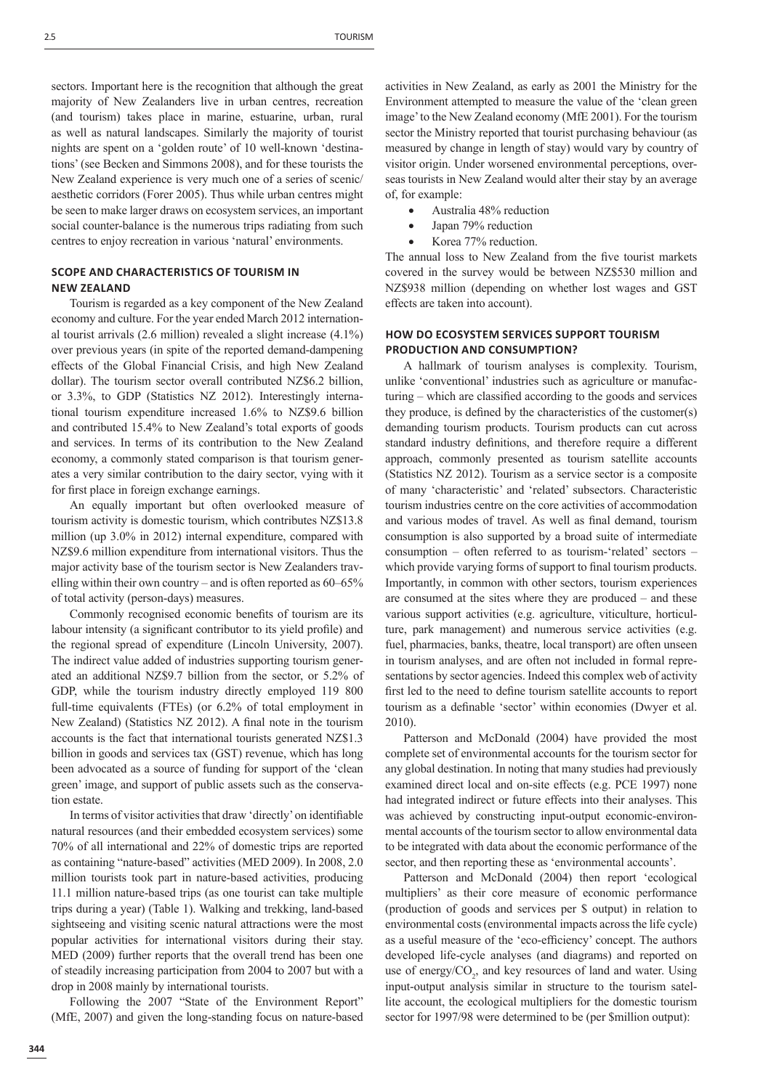sectors. Important here is the recognition that although the great majority of New Zealanders live in urban centres, recreation (and tourism) takes place in marine, estuarine, urban, rural as well as natural landscapes. Similarly the majority of tourist nights are spent on a 'golden route' of 10 well-known 'destinations' (see Becken and Simmons 2008), and for these tourists the New Zealand experience is very much one of a series of scenic/ aesthetic corridors (Forer 2005). Thus while urban centres might be seen to make larger draws on ecosystem services, an important social counter-balance is the numerous trips radiating from such centres to enjoy recreation in various 'natural' environments.

# **SCOPE AND CHARACTERISTICS OF TOURISM IN NEW ZEALAND**

Tourism is regarded as a key component of the New Zealand economy and culture. For the year ended March 2012 international tourist arrivals (2.6 million) revealed a slight increase (4.1%) over previous years (in spite of the reported demand-dampening effects of the Global Financial Crisis, and high New Zealand dollar). The tourism sector overall contributed NZ\$6.2 billion, or 3.3%, to GDP (Statistics NZ 2012). Interestingly international tourism expenditure increased 1.6% to NZ\$9.6 billion and contributed 15.4% to New Zealand's total exports of goods and services. In terms of its contribution to the New Zealand economy, a commonly stated comparison is that tourism generates a very similar contribution to the dairy sector, vying with it for first place in foreign exchange earnings.

An equally important but often overlooked measure of tourism activity is domestic tourism, which contributes NZ\$13.8 million (up 3.0% in 2012) internal expenditure, compared with NZ\$9.6 million expenditure from international visitors. Thus the major activity base of the tourism sector is New Zealanders travelling within their own country – and is often reported as 60–65% of total activity (person-days) measures.

Commonly recognised economic benefits of tourism are its labour intensity (a significant contributor to its yield profile) and the regional spread of expenditure (Lincoln University, 2007). The indirect value added of industries supporting tourism generated an additional NZ\$9.7 billion from the sector, or 5.2% of GDP, while the tourism industry directly employed 119 800 full-time equivalents (FTEs) (or 6.2% of total employment in New Zealand) (Statistics NZ 2012). A final note in the tourism accounts is the fact that international tourists generated NZ\$1.3 billion in goods and services tax (GST) revenue, which has long been advocated as a source of funding for support of the 'clean green' image, and support of public assets such as the conservation estate.

In terms of visitor activities that draw 'directly' on identifiable natural resources (and their embedded ecosystem services) some 70% of all international and 22% of domestic trips are reported as containing "nature-based" activities (MED 2009). In 2008, 2.0 million tourists took part in nature-based activities, producing 11.1 million nature-based trips (as one tourist can take multiple trips during a year) (Table 1). Walking and trekking, land-based sightseeing and visiting scenic natural attractions were the most popular activities for international visitors during their stay. MED (2009) further reports that the overall trend has been one of steadily increasing participation from 2004 to 2007 but with a drop in 2008 mainly by international tourists.

Following the 2007 "State of the Environment Report" (MfE, 2007) and given the long-standing focus on nature-based activities in New Zealand, as early as 2001 the Ministry for the Environment attempted to measure the value of the 'clean green image' to the New Zealand economy (MfE 2001). For the tourism sector the Ministry reported that tourist purchasing behaviour (as measured by change in length of stay) would vary by country of visitor origin. Under worsened environmental perceptions, overseas tourists in New Zealand would alter their stay by an average of, for example:

- Australia 48% reduction
- Japan 79% reduction
- Korea 77% reduction.

The annual loss to New Zealand from the five tourist markets covered in the survey would be between NZ\$530 million and NZ\$938 million (depending on whether lost wages and GST effects are taken into account).

## **HOW DO ECOSYSTEM SERVICES SUPPORT TOURISM PRODUCTION AND CONSUMPTION?**

A hallmark of tourism analyses is complexity. Tourism, unlike 'conventional' industries such as agriculture or manufacturing – which are classified according to the goods and services they produce, is defined by the characteristics of the customer $(s)$ demanding tourism products. Tourism products can cut across standard industry definitions, and therefore require a different approach, commonly presented as tourism satellite accounts (Statistics NZ 2012). Tourism as a service sector is a composite of many 'characteristic' and 'related' subsectors. Characteristic tourism industries centre on the core activities of accommodation and various modes of travel. As well as final demand, tourism consumption is also supported by a broad suite of intermediate consumption – often referred to as tourism-'related' sectors – which provide varying forms of support to final tourism products. Importantly, in common with other sectors, tourism experiences are consumed at the sites where they are produced – and these various support activities (e.g. agriculture, viticulture, horticulture, park management) and numerous service activities (e.g. fuel, pharmacies, banks, theatre, local transport) are often unseen in tourism analyses, and are often not included in formal representations by sector agencies. Indeed this complex web of activity first led to the need to define tourism satellite accounts to report tourism as a definable 'sector' within economies (Dwyer et al. 2010).

Patterson and McDonald (2004) have provided the most complete set of environmental accounts for the tourism sector for any global destination. In noting that many studies had previously examined direct local and on-site effects (e.g. PCE 1997) none had integrated indirect or future effects into their analyses. This was achieved by constructing input-output economic-environmental accounts of the tourism sector to allow environmental data to be integrated with data about the economic performance of the sector, and then reporting these as 'environmental accounts'.

Patterson and McDonald (2004) then report 'ecological multipliers' as their core measure of economic performance (production of goods and services per \$ output) in relation to environmental costs (environmental impacts across the life cycle) as a useful measure of the 'eco-efficiency' concept. The authors developed life-cycle analyses (and diagrams) and reported on use of energy/ $CO<sub>2</sub>$ , and key resources of land and water. Using input-output analysis similar in structure to the tourism satellite account, the ecological multipliers for the domestic tourism sector for 1997/98 were determined to be (per \$million output):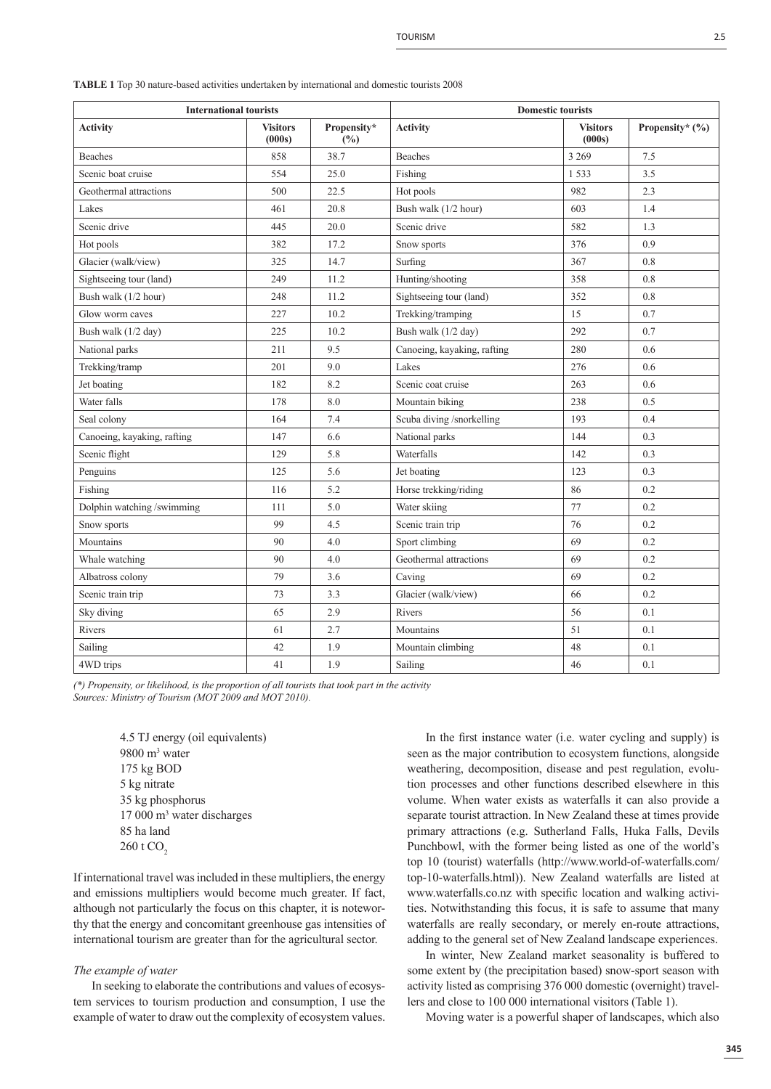**TABLE 1** Top 30 nature-based activities undertaken by international and domestic tourists 2008

| <b>International tourists</b> |                           |                    | <b>Domestic tourists</b>            |                           |                 |
|-------------------------------|---------------------------|--------------------|-------------------------------------|---------------------------|-----------------|
| <b>Activity</b>               | <b>Visitors</b><br>(000s) | Propensity*<br>(%) | <b>Activity</b>                     | <b>Visitors</b><br>(000s) | Propensity* (%) |
| <b>Beaches</b>                | 858                       | 38.7               | <b>Beaches</b>                      | 3 2 6 9                   | 7.5             |
| Scenic boat cruise            | 554                       | 25.0               | Fishing                             | 1533                      | 3.5             |
| Geothermal attractions        | 500                       | 22.5               | Hot pools                           | 982                       | 2.3             |
| Lakes                         | 461                       | 20.8               | Bush walk (1/2 hour)                | 603                       | 1.4             |
| Scenic drive                  | 445                       | 20.0               | Scenic drive                        | 582                       | 1.3             |
| Hot pools                     | 382                       | 17.2               | 376<br>0.9<br>Snow sports           |                           |                 |
| Glacier (walk/view)           | 325                       | 14.7               | Surfing<br>367<br>0.8               |                           |                 |
| Sightseeing tour (land)       | 249                       | 11.2               | Hunting/shooting<br>358             |                           | 0.8             |
| Bush walk (1/2 hour)          | 248                       | 11.2               | Sightseeing tour (land)<br>352      |                           | 0.8             |
| Glow worm caves               | 227                       | 10.2               | Trekking/tramping<br>15             |                           | 0.7             |
| Bush walk (1/2 day)           | 225                       | 10.2               | 292<br>Bush walk (1/2 day)          |                           | 0.7             |
| National parks                | 211                       | 9.5                | 280<br>Canoeing, kayaking, rafting  |                           | 0.6             |
| Trekking/tramp                | 201                       | 9.0                | Lakes                               | 276                       | 0.6             |
| Jet boating                   | 182                       | 8.2                | Scenic coat cruise                  | 263                       | 0.6             |
| Water falls                   | 178                       | 8.0                | Mountain biking                     | 238                       | 0.5             |
| Seal colony                   | 164                       | 7.4                | Scuba diving /snorkelling<br>193    |                           | 0.4             |
| Canoeing, kayaking, rafting   | 147                       | 6.6                | National parks<br>144<br>0.3        |                           |                 |
| Scenic flight                 | 129                       | 5.8                | Waterfalls<br>142<br>0.3            |                           |                 |
| Penguins                      | 125                       | 5.6                | 123<br>0.3<br>Jet boating           |                           |                 |
| Fishing                       | 116                       | 5.2                | Horse trekking/riding<br>86<br>0.2  |                           |                 |
| Dolphin watching /swimming    | 111                       | 5.0                | Water skiing<br>77<br>0.2           |                           |                 |
| Snow sports                   | 99                        | 4.5                | 76<br>Scenic train trip<br>0.2      |                           |                 |
| Mountains                     | 90                        | 4.0                | Sport climbing<br>69<br>0.2         |                           |                 |
| Whale watching                | 90                        | 4.0                | Geothermal attractions<br>69<br>0.2 |                           |                 |
| Albatross colony              | 79                        | 3.6                | 69<br>0.2<br>Caving                 |                           |                 |
| Scenic train trip             | 73                        | 3.3                | 66<br>0.2<br>Glacier (walk/view)    |                           |                 |
| Sky diving                    | 65                        | 2.9                | Rivers<br>0.1<br>56                 |                           |                 |
| Rivers                        | 61                        | 2.7                | Mountains<br>51<br>0.1              |                           |                 |
| Sailing                       | 42                        | 1.9                | 0.1<br>Mountain climbing<br>48      |                           |                 |
| 4WD trips                     | 41                        | 1.9                | Sailing                             | 46                        | 0.1             |

(\*) Propensity, or likelihood, is the proportion of all tourists that took part in the activity *Sources: Ministry of Tourism (MOT 2009 and MOT 2010).*

> 4.5 TJ energy (oil equivalents) 9800 m3 water 175 kg BOD 5 kg nitrate 35 kg phosphorus 17 000 m3 water discharges 85 ha land  $260 \text{ t } CO$

If international travel was included in these multipliers, the energy and emissions multipliers would become much greater. If fact, although not particularly the focus on this chapter, it is noteworthy that the energy and concomitant greenhouse gas intensities of international tourism are greater than for the agricultural sector.

#### *The example of water*

In seeking to elaborate the contributions and values of ecosystem services to tourism production and consumption, I use the example of water to draw out the complexity of ecosystem values.

In the first instance water (i.e. water cycling and supply) is seen as the major contribution to ecosystem functions, alongside weathering, decomposition, disease and pest regulation, evolution processes and other functions described elsewhere in this volume. When water exists as waterfalls it can also provide a separate tourist attraction. In New Zealand these at times provide primary attractions (e.g. Sutherland Falls, Huka Falls, Devils Punchbowl, with the former being listed as one of the world's top 10 (tourist) waterfalls (http://www.world-of-waterfalls.com/ top-10-waterfalls.html)). New Zealand waterfalls are listed at www.waterfalls.co.nz with specific location and walking activities. Notwithstanding this focus, it is safe to assume that many waterfalls are really secondary, or merely en-route attractions, adding to the general set of New Zealand landscape experiences.

In winter, New Zealand market seasonality is buffered to some extent by (the precipitation based) snow-sport season with activity listed as comprising 376 000 domestic (overnight) travellers and close to 100 000 international visitors (Table 1).

Moving water is a powerful shaper of landscapes, which also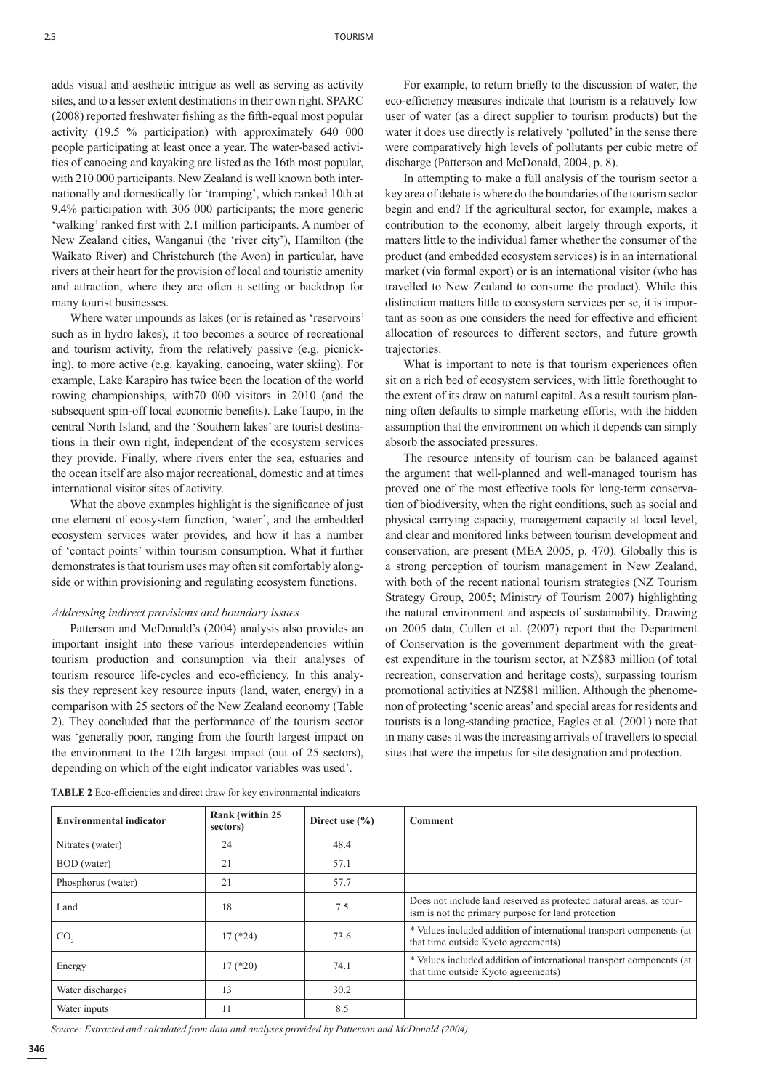adds visual and aesthetic intrigue as well as serving as activity sites, and to a lesser extent destinations in their own right. SPARC (2008) reported freshwater fishing as the fifth-equal most popular activity (19.5 % participation) with approximately 640 000 people participating at least once a year. The water-based activities of canoeing and kayaking are listed as the 16th most popular, with 210 000 participants. New Zealand is well known both internationally and domestically for 'tramping', which ranked 10th at 9.4% participation with 306 000 participants; the more generic 'walking' ranked first with 2.1 million participants. A number of New Zealand cities, Wanganui (the 'river city'), Hamilton (the Waikato River) and Christchurch (the Avon) in particular, have rivers at their heart for the provision of local and touristic amenity and attraction, where they are often a setting or backdrop for many tourist businesses.

Where water impounds as lakes (or is retained as 'reservoirs' such as in hydro lakes), it too becomes a source of recreational and tourism activity, from the relatively passive (e.g. picnicking), to more active (e.g. kayaking, canoeing, water skiing). For example, Lake Karapiro has twice been the location of the world rowing championships, with70 000 visitors in 2010 (and the subsequent spin-off local economic benefits). Lake Taupo, in the central North Island, and the 'Southern lakes' are tourist destinations in their own right, independent of the ecosystem services they provide. Finally, where rivers enter the sea, estuaries and the ocean itself are also major recreational, domestic and at times international visitor sites of activity.

What the above examples highlight is the significance of just one element of ecosystem function, 'water', and the embedded ecosystem services water provides, and how it has a number of 'contact points' within tourism consumption. What it further demonstrates is that tourism uses may often sit comfortably alongside or within provisioning and regulating ecosystem functions.

#### *Addressing indirect provisions and boundary issues*

Patterson and McDonald's (2004) analysis also provides an important insight into these various interdependencies within tourism production and consumption via their analyses of tourism resource life-cycles and eco-efficiency. In this analysis they represent key resource inputs (land, water, energy) in a comparison with 25 sectors of the New Zealand economy (Table 2). They concluded that the performance of the tourism sector was 'generally poor, ranging from the fourth largest impact on the environment to the 12th largest impact (out of 25 sectors), depending on which of the eight indicator variables was used'.

For example, to return briefly to the discussion of water, the eco-efficiency measures indicate that tourism is a relatively low user of water (as a direct supplier to tourism products) but the water it does use directly is relatively 'polluted' in the sense there were comparatively high levels of pollutants per cubic metre of discharge (Patterson and McDonald, 2004, p. 8).

In attempting to make a full analysis of the tourism sector a key area of debate is where do the boundaries of the tourism sector begin and end? If the agricultural sector, for example, makes a contribution to the economy, albeit largely through exports, it matters little to the individual famer whether the consumer of the product (and embedded ecosystem services) is in an international market (via formal export) or is an international visitor (who has travelled to New Zealand to consume the product). While this distinction matters little to ecosystem services per se, it is important as soon as one considers the need for effective and efficient allocation of resources to different sectors, and future growth trajectories.

What is important to note is that tourism experiences often sit on a rich bed of ecosystem services, with little forethought to the extent of its draw on natural capital. As a result tourism planning often defaults to simple marketing efforts, with the hidden assumption that the environment on which it depends can simply absorb the associated pressures.

The resource intensity of tourism can be balanced against the argument that well-planned and well-managed tourism has proved one of the most effective tools for long-term conservation of biodiversity, when the right conditions, such as social and physical carrying capacity, management capacity at local level, and clear and monitored links between tourism development and conservation, are present (MEA 2005, p. 470). Globally this is a strong perception of tourism management in New Zealand, with both of the recent national tourism strategies (NZ Tourism Strategy Group, 2005; Ministry of Tourism 2007) highlighting the natural environment and aspects of sustainability. Drawing on 2005 data, Cullen et al. (2007) report that the Department of Conservation is the government department with the greatest expenditure in the tourism sector, at NZ\$83 million (of total recreation, conservation and heritage costs), surpassing tourism promotional activities at NZ\$81 million. Although the phenomenon of protecting 'scenic areas' and special areas for residents and tourists is a long-standing practice, Eagles et al. (2001) note that in many cases it was the increasing arrivals of travellers to special sites that were the impetus for site designation and protection.

| <b>Environmental indicator</b> | Rank (within 25)<br>sectors) | Direct use $(\% )$ | Comment                                                                                                                   |
|--------------------------------|------------------------------|--------------------|---------------------------------------------------------------------------------------------------------------------------|
| Nitrates (water)               | 24                           | 48.4               |                                                                                                                           |
| BOD (water)                    | 21                           | 57.1               |                                                                                                                           |
| Phosphorus (water)             | 21                           | 57.7               |                                                                                                                           |
| Land                           | 18                           | 7.5                | Does not include land reserved as protected natural areas, as tour-<br>ism is not the primary purpose for land protection |
| CO <sub>2</sub>                | $17$ (*24)                   | 73.6               | * Values included addition of international transport components (at<br>that time outside Kyoto agreements)               |
| Energy                         | $17$ (*20)                   | 74.1               | * Values included addition of international transport components (at<br>that time outside Kyoto agreements)               |
| Water discharges               | 13                           | 30.2               |                                                                                                                           |
| Water inputs                   | 11                           | 8.5                |                                                                                                                           |

**TABLE 2** Eco-efficiencies and direct draw for key environmental indicators

*Source: Extracted and calculated from data and analyses provided by Patterson and McDonald (2004).*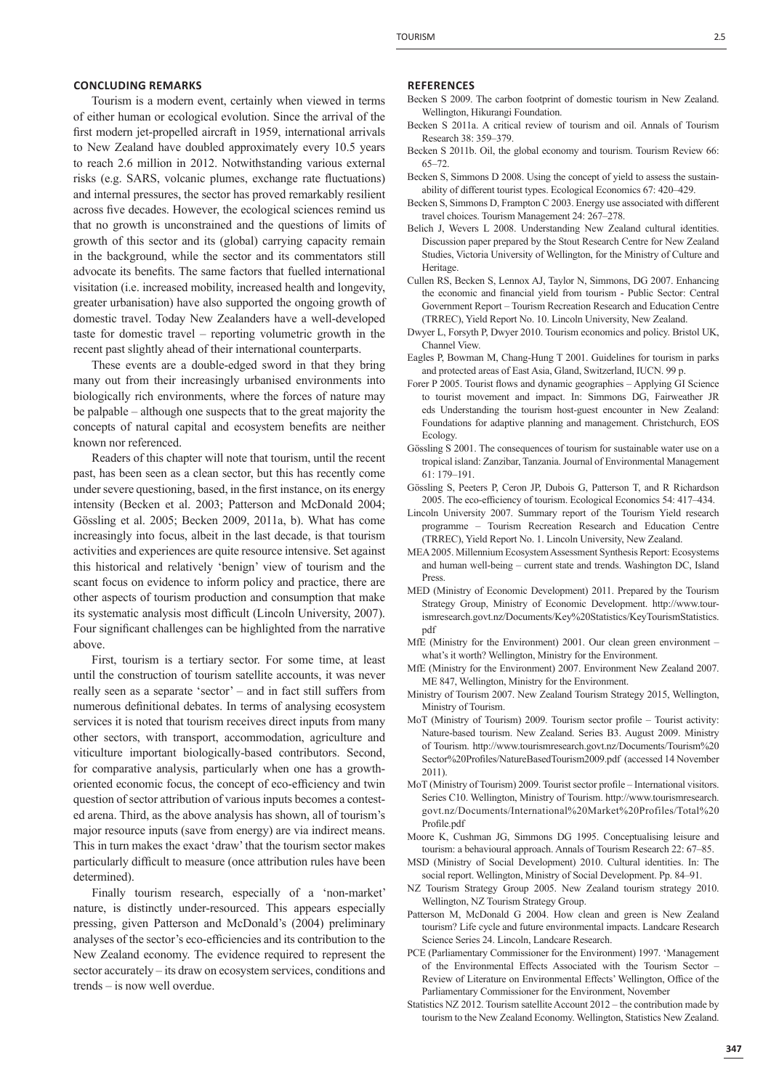#### **CONCLUDING REMARKS**

Tourism is a modern event, certainly when viewed in terms of either human or ecological evolution. Since the arrival of the first modern jet-propelled aircraft in 1959, international arrivals to New Zealand have doubled approximately every 10.5 years to reach 2.6 million in 2012. Notwithstanding various external risks (e.g. SARS, volcanic plumes, exchange rate fluctuations) and internal pressures, the sector has proved remarkably resilient across five decades. However, the ecological sciences remind us that no growth is unconstrained and the questions of limits of growth of this sector and its (global) carrying capacity remain in the background, while the sector and its commentators still advocate its benefits. The same factors that fuelled international visitation (i.e. increased mobility, increased health and longevity, greater urbanisation) have also supported the ongoing growth of domestic travel. Today New Zealanders have a well-developed taste for domestic travel – reporting volumetric growth in the recent past slightly ahead of their international counterparts.

These events are a double-edged sword in that they bring many out from their increasingly urbanised environments into biologically rich environments, where the forces of nature may be palpable – although one suspects that to the great majority the concepts of natural capital and ecosystem benefits are neither known nor referenced.

Readers of this chapter will note that tourism, until the recent past, has been seen as a clean sector, but this has recently come under severe questioning, based, in the first instance, on its energy intensity (Becken et al. 2003; Patterson and McDonald 2004; Gössling et al. 2005; Becken 2009, 2011a, b). What has come increasingly into focus, albeit in the last decade, is that tourism activities and experiences are quite resource intensive. Set against this historical and relatively 'benign' view of tourism and the scant focus on evidence to inform policy and practice, there are other aspects of tourism production and consumption that make its systematic analysis most difficult (Lincoln University, 2007). Four significant challenges can be highlighted from the narrative above.

First, tourism is a tertiary sector. For some time, at least until the construction of tourism satellite accounts, it was never really seen as a separate 'sector' – and in fact still suffers from numerous definitional debates. In terms of analysing ecosystem services it is noted that tourism receives direct inputs from many other sectors, with transport, accommodation, agriculture and viticulture important biologically-based contributors. Second, for comparative analysis, particularly when one has a growthoriented economic focus, the concept of eco-efficiency and twin question of sector attribution of various inputs becomes a contested arena. Third, as the above analysis has shown, all of tourism's major resource inputs (save from energy) are via indirect means. This in turn makes the exact 'draw' that the tourism sector makes particularly difficult to measure (once attribution rules have been determined).

Finally tourism research, especially of a 'non-market' nature, is distinctly under-resourced. This appears especially pressing, given Patterson and McDonald's (2004) preliminary analyses of the sector's eco-efficiencies and its contribution to the New Zealand economy. The evidence required to represent the sector accurately – its draw on ecosystem services, conditions and trends – is now well overdue.

#### **REFERENCES**

- Becken S 2009. The carbon footprint of domestic tourism in New Zealand. Wellington, Hikurangi Foundation.
- Becken S 2011a. A critical review of tourism and oil. Annals of Tourism Research 38: 359–379.
- Becken S 2011b. Oil, the global economy and tourism. Tourism Review 66: 65–72.
- Becken S, Simmons D 2008. Using the concept of yield to assess the sustainability of different tourist types. Ecological Economics 67: 420–429.
- Becken S, Simmons D, Frampton C 2003. Energy use associated with different travel choices. Tourism Management 24: 267–278.
- Belich J, Wevers L 2008. Understanding New Zealand cultural identities. Discussion paper prepared by the Stout Research Centre for New Zealand Studies, Victoria University of Wellington, for the Ministry of Culture and Heritage.
- Cullen RS, Becken S, Lennox AJ, Taylor N, Simmons, DG 2007. Enhancing the economic and financial yield from tourism - Public Sector: Central Government Report – Tourism Recreation Research and Education Centre (TRREC), Yield Report No. 10. Lincoln University, New Zealand.
- Dwyer L, Forsyth P, Dwyer 2010. Tourism economics and policy. Bristol UK, Channel View.
- Eagles P, Bowman M, Chang-Hung T 2001. Guidelines for tourism in parks and protected areas of East Asia, Gland, Switzerland, IUCN. 99 p.
- Forer P 2005. Tourist flows and dynamic geographies Applying GI Science to tourist movement and impact. In: Simmons DG, Fairweather JR eds Understanding the tourism host-guest encounter in New Zealand: Foundations for adaptive planning and management. Christchurch, EOS **Ecology**
- Gössling S 2001. The consequences of tourism for sustainable water use on a tropical island: Zanzibar, Tanzania. Journal of Environmental Management 61: 179–191.
- Gössling S, Peeters P, Ceron JP, Dubois G, Patterson T, and R Richardson 2005. The eco-efficiency of tourism. Ecological Economics 54: 417-434.
- Lincoln University 2007. Summary report of the Tourism Yield research programme – Tourism Recreation Research and Education Centre (TRREC), Yield Report No. 1. Lincoln University, New Zealand.
- MEA 2005. Millennium Ecosystem Assessment Synthesis Report: Ecosystems and human well-being – current state and trends. Washington DC, Island Press.
- MED (Ministry of Economic Development) 2011. Prepared by the Tourism Strategy Group, Ministry of Economic Development. http://www.tourismresearch.govt.nz/Documents/Key%20Statistics/KeyTourismStatistics. pdf
- MfE (Ministry for the Environment) 2001. Our clean green environment what's it worth? Wellington, Ministry for the Environment.
- MfE (Ministry for the Environment) 2007. Environment New Zealand 2007. ME 847, Wellington, Ministry for the Environment.
- Ministry of Tourism 2007. New Zealand Tourism Strategy 2015, Wellington, Ministry of Tourism.
- MoT (Ministry of Tourism) 2009. Tourism sector profile Tourist activity: Nature-based tourism. New Zealand. Series B3. August 2009. Ministry of Tourism. http://www.tourismresearch.govt.nz/Documents/Tourism%20 Sector%20Profiles/NatureBasedTourism2009.pdf (accessed 14 November 2011).
- MoT (Ministry of Tourism) 2009. Tourist sector profile International visitors. Series C10. Wellington, Ministry of Tourism. http://www.tourismresearch. govt.nz/Documents/International%20Market%20Profiles/Total%20 Profile.pdf
- Moore K, Cushman JG, Simmons DG 1995. Conceptualising leisure and tourism: a behavioural approach. Annals of Tourism Research 22: 67–85.
- MSD (Ministry of Social Development) 2010. Cultural identities. In: The social report. Wellington, Ministry of Social Development. Pp. 84–91.
- NZ Tourism Strategy Group 2005. New Zealand tourism strategy 2010. Wellington, NZ Tourism Strategy Group.
- Patterson M, McDonald G 2004. How clean and green is New Zealand tourism? Life cycle and future environmental impacts. Landcare Research Science Series 24. Lincoln, Landcare Research.
- PCE (Parliamentary Commissioner for the Environment) 1997. 'Management of the Environmental Effects Associated with the Tourism Sector – Review of Literature on Environmental Effects' Wellington, Office of the Parliamentary Commissioner for the Environment, November
- Statistics NZ 2012. Tourism satellite Account 2012 the contribution made by tourism to the New Zealand Economy. Wellington, Statistics New Zealand.